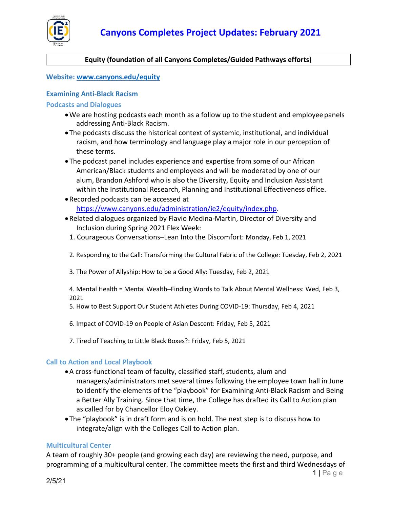

#### **Equity (foundation of all Canyons Completes/Guided Pathways efforts)**

#### **Website: [www.canyons.edu/equity](http://www.canyons.edu/equity)**

#### **Examining Anti-Black Racism**

**Podcasts and Dialogues**

- •We are hosting podcasts each month as a follow up to the student and employeepanels addressing Anti-Black Racism.
- •The podcasts discuss the historical context of systemic, institutional, and individual racism, and how terminology and language play a major role in our perception of these terms.
- •The podcast panel includes experience and expertise from some of our African American/Black students and employees and will be moderated by one of our alum, Brandon Ashford who is also the Diversity, Equity and Inclusion Assistant within the Institutional Research, Planning and Institutional Effectiveness office.
- •Recorded podcasts can be accessed at [https://www.canyons.edu/administration/ie2/equity/index.php.](https://www.canyons.edu/administration/ie2/equity/index.php)
- •Related dialogues organized by Flavio Medina-Martin, Director of Diversity and Inclusion during Spring 2021 Flex Week:
	- 1. Courageous Conversations–Lean Into the Discomfort: Monday, Feb 1, 2021
	- 2. Responding to the Call: Transforming the Cultural Fabric of the College: Tuesday, Feb 2, 2021
	- 3. The Power of Allyship: How to be a Good Ally: Tuesday, Feb 2, 2021

4. Mental Health = Mental Wealth–Finding Words to Talk About Mental Wellness: Wed, Feb 3, 2021

- 5. How to Best Support Our Student Athletes During COVID-19: Thursday, Feb 4, 2021
- 6. Impact of COVID-19 on People of Asian Descent: Friday, Feb 5, 2021
- 7. Tired of Teaching to Little Black Boxes?: Friday, Feb 5, 2021

#### **Call to Action and Local Playbook**

- •A cross-functional team of faculty, classified staff, students, alum and managers/administrators met several times following the employee town hall in June to identify the elements of the "playbook" for Examining Anti-Black Racism and Being a Better Ally Training. Since that time, the College has drafted its Call to Action plan as called for by Chancellor Eloy Oakley.
- •The "playbook" is in draft form and is on hold. The next step is to discuss how to integrate/align with the Colleges Call to Action plan.

#### **Multicultural Center**

A team of roughly 30+ people (and growing each day) are reviewing the need, purpose, and programming of a multicultural center. The committee meets the first and third Wednesdays of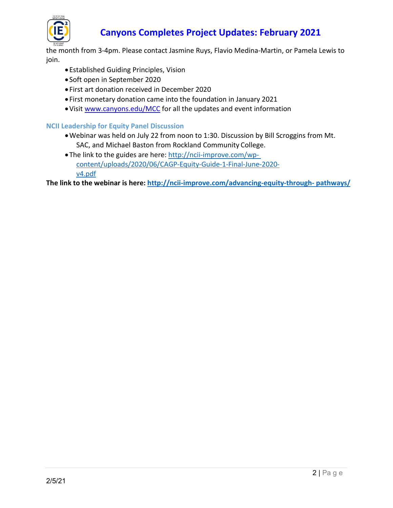

# **Canyons Completes Project Updates: February 2021**

the month from 3-4pm. Please contact Jasmine Ruys, Flavio Medina-Martin, or Pamela Lewis to join.

- •Established Guiding Principles, Vision
- Soft open in September 2020
- First art donation received in December 2020
- First monetary donation came into the foundation in January 2021
- •Visi[t www.canyons.edu/MCC](http://www.canyons.edu/MCC) for all the updates and event information

#### **NCII Leadership for Equity Panel Discussion**

- •Webinar was held on July 22 from noon to 1:30. Discussion by Bill Scroggins from Mt. SAC, and Michael Baston from Rockland Community College.
- •The link to the guides are here: [http://ncii-improve.com/wp](http://ncii-improve.com/wp-content/uploads/2020/06/CAGP-Equity-Guide-1-Final-June-2020-v4.pdf)[content/uploads/2020/06/CAGP-Equity-Guide-1-Final-June-2020](http://ncii-improve.com/wp-content/uploads/2020/06/CAGP-Equity-Guide-1-Final-June-2020-v4.pdf) [v4.pdf](http://ncii-improve.com/wp-content/uploads/2020/06/CAGP-Equity-Guide-1-Final-June-2020-v4.pdf)

**The link to the webinar is here: [http://ncii-improve.com/advancing-equity-through-](http://ncii-improve.com/advancing-equity-through-pathways/) [pathways/](http://ncii-improve.com/advancing-equity-through-pathways/)**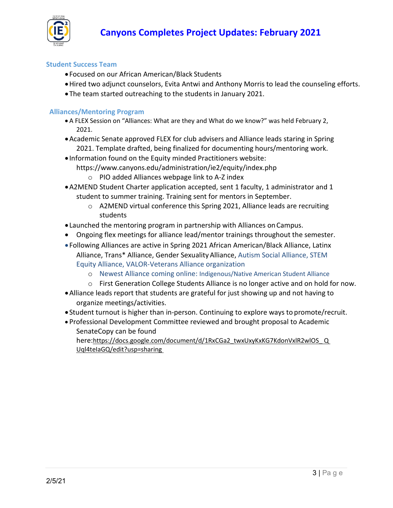

#### **Student Success Team**

- Focused on our African American/Black Students
- •Hired two adjunct counselors, Evita Antwi and Anthony Morris to lead the counseling efforts.
- •The team started outreaching to the students in January 2021.

#### **Alliances/Mentoring Program**

- A FLEX Session on "Alliances: What are they and What do we know?" was held February 2, 2021.
- •Academic Senate approved FLEX for club advisers and Alliance leads staring in Spring 2021. Template drafted, being finalized for documenting hours/mentoring work.
- Information found on the Equity minded Practitioners website:
	- https://www.canyons.edu/administration/ie2/equity/index.php
		- o PIO added Alliances webpage link to A-Z index
- •A2MEND Student Charter application accepted, sent 1 faculty, 1 administrator and 1 student to summer training. Training sent for mentors in September.
	- o A2MEND virtual conference this Spring 2021, Alliance leads are recruiting students
- Launched the mentoring program in partnership with Alliances onCampus.
- Ongoing flex meetings for alliance lead/mentor trainings throughout the semester.
- Following Alliances are active in Spring 2021 African American/Black Alliance, Latinx Alliance, Trans\* Alliance, Gender SexualityAlliance, Autism Social Alliance, STEM Equity Alliance, VALOR-Veterans Alliance organization
	- o Newest Alliance coming online: Indigenous/Native American Student Alliance
	- o First Generation College Students Alliance is no longer active and on hold for now.
- •Alliance leads report that students are grateful for just showing up and not having to organize meetings/activities.
- Student turnout is higher than in-person. Continuing to explore ways to promote/recruit.
- Professional Development Committee reviewed and brought proposal to Academic SenateCopy can be found

here[:https://docs.google.com/document/d/1RxCGa2\\_twxUxyKxKG7KdonVxlR2wlOS\\_](https://owa.canyons.edu/owa/redir.aspx?C=iPYGDqySMNG-qZzpAqNQ_DIfsSjqbDpgSctzDSET1mWKAYyvXl3XCA..&URL=https%3a%2f%2fdocs.google.com%2fdocument%2fd%2f1RxCGa2_twxUxyKxKG7KdonVxlR2wlOS_QUql4teIaGQ%2fedit%3fusp%3dsharing) Q [Uql4teIaGQ/edit?usp=sharing](https://owa.canyons.edu/owa/redir.aspx?C=iPYGDqySMNG-qZzpAqNQ_DIfsSjqbDpgSctzDSET1mWKAYyvXl3XCA..&URL=https%3a%2f%2fdocs.google.com%2fdocument%2fd%2f1RxCGa2_twxUxyKxKG7KdonVxlR2wlOS_QUql4teIaGQ%2fedit%3fusp%3dsharing)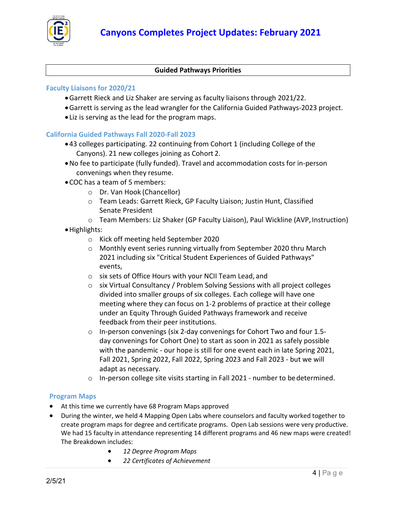

#### **Guided Pathways Priorities**

#### **Faculty Liaisons for 2020/21**

- •Garrett Rieck and Liz Shaker are serving as faculty liaisons through 2021/22.
- •Garrett is serving as the lead wrangler for the California Guided Pathways-2023 project.
- Liz is serving as the lead for the program maps.

#### **California Guided Pathways Fall 2020-Fall 2023**

- •43 colleges participating. 22 continuing from Cohort 1 (including College of the Canyons). 21 new colleges joining as Cohort 2.
- •No fee to participate (fully funded). Travel and accommodation costs for in-person convenings when they resume.
- •COC has a team of 5 members:
	- o Dr. Van Hook (Chancellor)
	- o Team Leads: Garrett Rieck, GP Faculty Liaison; Justin Hunt, Classified Senate President
	- o Team Members: Liz Shaker (GP Faculty Liaison), Paul Wickline (AVP, Instruction)
- •Highlights:
	- o Kick off meeting held September 2020
	- o Monthly event series running virtually from September 2020 thru March 2021 including six "Critical Student Experiences of Guided Pathways" events,
	- o six sets of Office Hours with your NCII Team Lead, and
	- o six Virtual Consultancy / Problem Solving Sessions with all project colleges divided into smaller groups of six colleges. Each college will have one meeting where they can focus on 1-2 problems of practice at their college under an Equity Through Guided Pathways framework and receive feedback from their peer institutions.
	- o In-person convenings (six 2-day convenings for Cohort Two and four 1.5 day convenings for Cohort One) to start as soon in 2021 as safely possible with the pandemic - our hope is still for one event each in late Spring 2021, Fall 2021, Spring 2022, Fall 2022, Spring 2023 and Fall 2023 - but we will adapt as necessary.
	- $\circ$  In-person college site visits starting in Fall 2021 number to be determined.

#### **Program Maps**

- At this time we currently have 68 Program Maps approved
- During the winter, we held 4 Mapping Open Labs where counselors and faculty worked together to create program maps for degree and certificate programs. Open Lab sessions were very productive. We had 15 faculty in attendance representing 14 different programs and 46 new maps were created! The Breakdown includes:
	- *12 Degree Program Maps*
	- *22 Certificates of Achievement*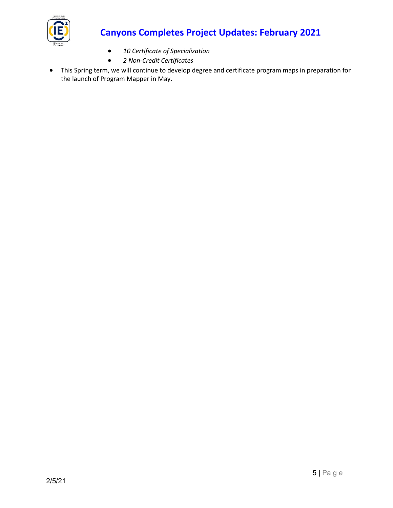

# **Canyons Completes Project Updates: February 2021**

- *10 Certificate of Specialization*
- *2 Non-Credit Certificates*
- This Spring term, we will continue to develop degree and certificate program maps in preparation for the launch of Program Mapper in May.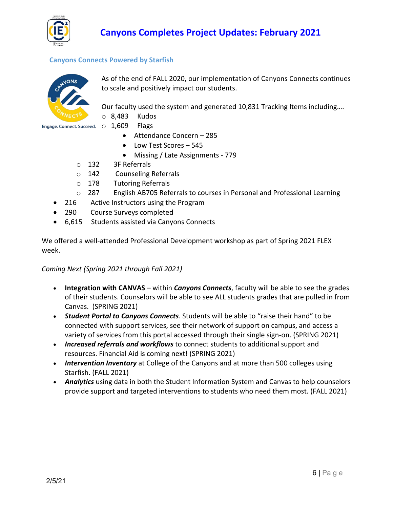

### **Canyons Connects Powered by Starfish**



As of the end of FALL 2020, our implementation of Canyons Connects continues to scale and positively impact our students.

Our faculty used the system and generated 10,831 Tracking Items including….

o 8,483 Kudos

Engage. Connect. Succeed.  $\circ$  1,609 Flags

- 
- Attendance Concern 285
- Low Test Scores 545
- Missing / Late Assignments 779
- o 132 3F Referrals
- o 142 Counseling Referrals<br>
o 178 Tutoring Referrals
- **Tutoring Referrals**
- o 287 English AB705 Referrals to courses in Personal and Professional Learning
- 216 Active Instructors using the Program
- 290 Course Surveys completed
- 6,615 Students assisted via Canyons Connects

We offered a well-attended Professional Development workshop as part of Spring 2021 FLEX week.

*Coming Next (Spring 2021 through Fall 2021)*

- **Integration with CANVAS** within *Canyons Connects*, faculty will be able to see the grades of their students. Counselors will be able to see ALL students grades that are pulled in from Canvas. (SPRING 2021)
- *Student Portal to Canyons Connects*. Students will be able to "raise their hand" to be connected with support services, see their network of support on campus, and access a variety of services from this portal accessed through their single sign-on. (SPRING 2021)
- *Increased referrals and workflows* to connect students to additional support and resources. Financial Aid is coming next! (SPRING 2021)
- *Intervention Inventory* at College of the Canyons and at more than 500 colleges using Starfish. (FALL 2021)
- *Analytics* using data in both the Student Information System and Canvas to help counselors provide support and targeted interventions to students who need them most. (FALL 2021)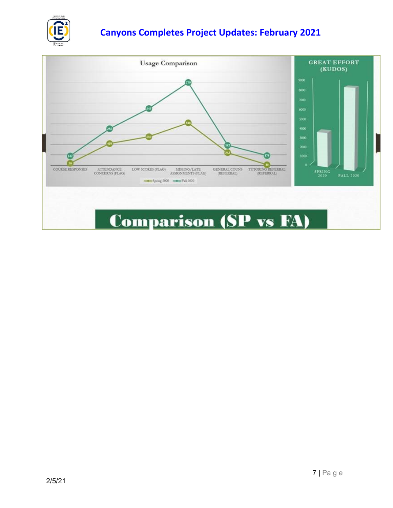

## **Canyons Completes Project Updates: February 2021**